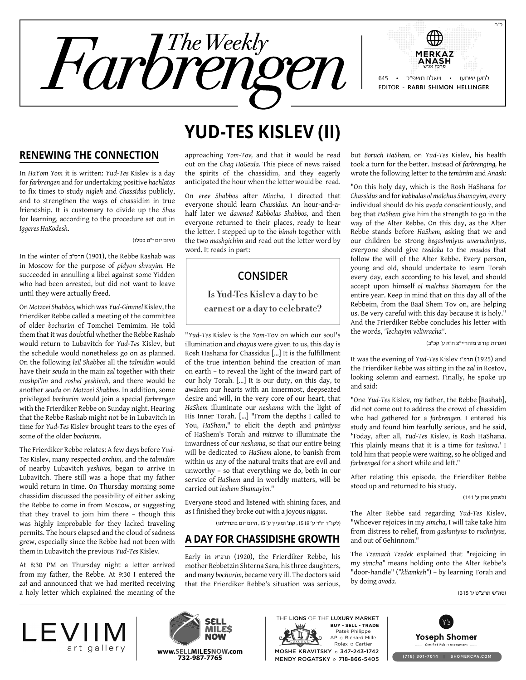

#### **Renewing the Connection**

In *HaYom Yom* it is written: *Yud-Tes* Kislev is a day for *farbrengen* and for undertaking positive *hachlatos* to fix times to study *nigleh* and *Chassidus* publicly, and to strengthen the ways of chassidim in true friendship. It is customary to divide up the *Shas* for learning, according to the procedure set out in *Iggeres HaKodesh*.

)היום יום י"ט כסלו(

In the winter of תרס"ב (1901), the Rebbe Rashab was in Moscow for the purpose of *pidyon shvuyim.* He succeeded in annulling a libel against some Yidden who had been arrested, but did not want to leave until they were actually freed.

On *Motzoei Shabbos,* which was *Yud-Gimmel* Kislev, the Frierdiker Rebbe called a meeting of the committee of older *bochurim* of Tomchei Temimim. He told them that it was doubtful whether the Rebbe Rashab would return to Lubavitch for *Yud-Tes* Kislev, but the schedule would nonetheless go on as planned. On the following *leil Shabbos* all the *talmidim* would have their *seuda* in the main *zal* together with their *mashpi'im* and *roshei yeshivah,* and there would be another *seuda* on *Motzoei Shabbos.* In addition, some privileged *bochurim* would join a special *farbrengen* with the Frierdiker Rebbe on Sunday night. Hearing that the Rebbe Rashab might not be in Lubavitch in time for *Yud-Tes* Kislev brought tears to the eyes of some of the older *bochurim.*

The Frierdiker Rebbe relates: A few days before *Yud-Tes* Kislev, many respected *orchim,* and the *talmidim* of nearby Lubavitch *yeshivos,* began to arrive in Lubavitch. There still was a hope that my father would return in time. On Thursday morning some chassidim discussed the possibility of either asking the Rebbe to come in from Moscow, or suggesting that they travel to join him there – though this was highly improbable for they lacked traveling permits. The hours elapsed and the cloud of sadness grew, especially since the Rebbe had not been with them in Lubavitch the previous *Yud-Tes* Kislev.

At 8:30 PM on Thursday night a letter arrived from my father, the Rebbe. At 9:30 I entered the *zal* and announced that we had merited receiving a holy letter which explained the meaning of the

# **Yud-Tes Kislev (II)**

approaching *Yom-Tov,* and that it would be read out on the *Chag HaGeula.* This piece of news raised the spirits of the chassidim, and they eagerly anticipated the hour when the letter would be read.

On *erev Shabbos* after *Mincha,* I directed that everyone should learn *Chassidus.* An hour-and-ahalf later we *davened Kabbolas Shabbos,* and then everyone returned to their places, ready to hear the letter. I stepped up to the *bimah* together with the two *mashgichim* and read out the letter word by word. It reads in part:

## **Consider**

**Is Yud-Tes Kislev a day to be earnest or a day to celebrate?**

"*Yud-Tes* Kislev is the *Yom-*Tov on which our soul's illumination and *chayus* were given to us, this day is Rosh Hashana for Chassidus […] It is the fulfillment of the true intention behind the creation of man on earth – to reveal the light of the inward part of our holy Torah. […] It is our duty, on this day, to awaken our hearts with an innermost, deepseated desire and will, in the very core of our heart, that *HaShem* illuminate our *neshama* with the light of His Inner Torah. […] "From the depths I called to You, *HaShem*," to elicit the depth and *pnimiyus* of HaShem's Torah and *mitzvos* to illuminate the inwardness of our *neshama*, so that our entire being will be dedicated to *HaShem* alone, to banish from within us any of the natural traits that are evil and unworthy – so that everything we do, both in our service of *HaShem* and in worldly matters, will be carried out *leshem Shamayim.*"

Everyone stood and listened with shining faces, and as I finished they broke out with a joyous *niggun*.

)לקו"ד ח"ד ע' ,1518 קונ' ומעיין ע' ,15 היום יום בתחילתו(

### **A Day for Chassidishe Growth**

Early in תרפ"א (1920), the Frierdiker Rebbe, his mother Rebbetzin Shterna Sara, his three daughters, and many *bochurim,* became very ill. The doctors said that the Frierdiker Rebbe's situation was serious, but *Boruch HaShem,* on *Yud-Tes* Kislev, his health took a turn for the better. Instead of *farbrenging,* he wrote the following letter to the *temimim* and *Anash:*

"On this holy day, which is the Rosh HaShana for *Chassidus* and for *kabbalas ol malchus Shamayim,* every individual should do his *avoda* conscientiously, and beg that *HaShem* give him the strength to go in the way of the Alter Rebbe. On this day, as the Alter Rebbe stands before *HaShem,* asking that we and our children be strong *begashmiyus uveruchniyus,* everyone should give *tzedaka* to the *mosdos* that follow the will of the Alter Rebbe. Every person, young and old, should undertake to learn Torah every day, each according to his level, and should accept upon himself *ol malchus Shamayim* for the entire year. Keep in mind that on this day all of the Rebbeim, from the Baal Shem Tov on, are helping us. Be very careful with this day because it is holy." And the Frierdiker Rebbe concludes his letter with the words, *"lechayim velivracha"*.

)אגרות קודש מוהריי"צ ח"א ע' קכ"ב(

It was the evening of *Yud-Tes* Kislev ו"תרפ) 1925 (and the Frierdiker Rebbe was sitting in the *zal* in Rostov, looking solemn and earnest. Finally, he spoke up and said:

"One *Yud-Tes* Kislev, my father, the Rebbe [Rashab], did not come out to address the crowd of chassidim who had gathered for a *farbrengen.* I entered his study and found him fearfully serious, and he said, 'Today, after all, *Yud-Tes* Kislev, is Rosh HaShana. This plainly means that it is a time for *teshuva*.' I told him that people were waiting, so he obliged and *farbrenged* for a short while and left."

After relating this episode, the Frierdiker Rebbe stood up and returned to his study.

)לשמע אוזן ע' 141(

The Alter Rebbe said regarding *Yud-Tes* Kislev, "Whoever rejoices in my *simcha,* I will take take him from distress to relief, from *gashmiyus* to *ruchniyus,* and out of Gehinnom."

The *Tzemach Tzedek* explained that "rejoicing in my *simcha"* means holding onto the Alter Rebbe's "door-handle" (*"kliamkeh"*) – by learning Torah and by doing *avoda.*

)סה"ש תרצ"ט ע' 315(





Rolex o Cartier **www.Sellmilesnow.com 732-987-7765** (718) 301-7014 <sup>|</sup> SHOMERCPA.COM Patek Philippe AP o Richard Mille THE LIONS OF THE LUXURY MARKET MOSHE KRAVITSKY o 347-243-1742 MENDY ROGATSKY o 718-866-5405 **Buy - Sell - Trade**